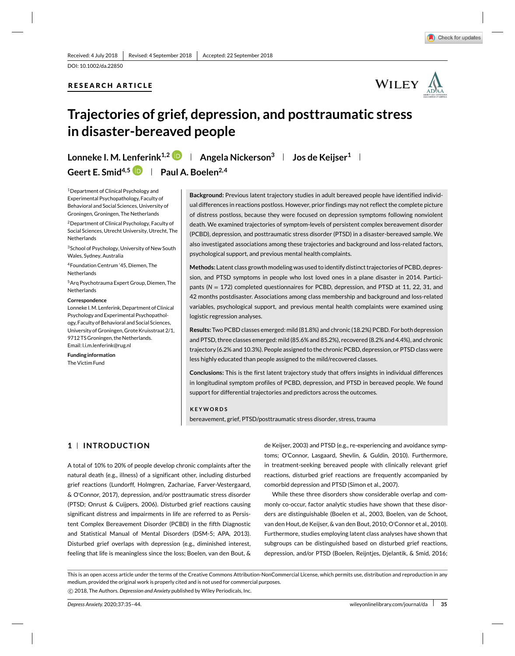DOI: 10.1002/da.22850

# **RESEARCH ARTICLE**



# **Trajectories of grief, depression, and posttraumatic stress in disaster-bereaved people**

**Lonneke I. M. Lenferink<sup>1,2</sup> <b>Angela Nickerson**<sup>3</sup> **Jos de Keijser**<sup>1</sup>

Geert E. Smid<sup>4,5</sup> **Paul A. Boelen**<sup>2,4</sup>

1Department of Clinical Psychology and Experimental Psychopathology, Faculty of Behavioral and Social Sciences, University of Groningen, Groningen, The Netherlands

2Department of Clinical Psychology, Faculty of Social Sciences, Utrecht University, Utrecht, The Netherlands

3School of Psychology, University of New South Wales, Sydney, Australia

4Foundation Centrum '45, Diemen, The **Netherlands** 

5Arq Psychotrauma Expert Group, Diemen, The Netherlands

#### **Correspondence**

Lonneke I. M. Lenferink, Department of Clinical Psychology and Experimental Psychopathology, Faculty of Behavioral and Social Sciences, University of Groningen, Grote Kruisstraat 2/1, 9712 TS Groningen, the Netherlands. Email: l.i.m.lenferink@rug.nl

**Funding information** The Victim Fund

**Background:** Previous latent trajectory studies in adult bereaved people have identified individual differences in reactions postloss. However, prior findings may not reflect the complete picture of distress postloss, because they were focused on depression symptoms following nonviolent death. We examined trajectories of symptom-levels of persistent complex bereavement disorder (PCBD), depression, and posttraumatic stress disorder (PTSD) in a disaster-bereaved sample. We also investigated associations among these trajectories and background and loss-related factors, psychological support, and previous mental health complaints.

**Methods:** Latent class growth modeling was used to identify distinct trajectories of PCBD, depression, and PTSD symptoms in people who lost loved ones in a plane disaster in 2014. Participants (*N* = 172) completed questionnaires for PCBD, depression, and PTSD at 11, 22, 31, and 42 months postdisaster. Associations among class membership and background and loss-related variables, psychological support, and previous mental health complaints were examined using logistic regression analyses.

**Results:** Two PCBD classes emerged: mild (81.8%) and chronic (18.2%) PCBD. For both depression and PTSD, three classes emerged: mild (85.6% and 85.2%), recovered (8.2% and 4.4%), and chronic trajectory (6.2% and 10.3%). People assigned to the chronic PCBD, depression, or PTSD class were less highly educated than people assigned to the mild/recovered classes.

**Conclusions:** This is the first latent trajectory study that offers insights in individual differences in longitudinal symptom profiles of PCBD, depression, and PTSD in bereaved people. We found support for differential trajectories and predictors across the outcomes.

#### **KEYWORDS**

bereavement, grief, PTSD/posttraumatic stress disorder, stress, trauma

# **1 INTRODUCTION**

A total of 10% to 20% of people develop chronic complaints after the natural death (e.g., illness) of a significant other, including disturbed grief reactions (Lundorff, Holmgren, Zachariae, Farver-Vestergaard, & O'Connor, 2017), depression, and/or posttraumatic stress disorder (PTSD; Onrust & Cuijpers, 2006). Disturbed grief reactions causing significant distress and impairments in life are referred to as Persistent Complex Bereavement Disorder (PCBD) in the fifth Diagnostic and Statistical Manual of Mental Disorders (DSM-5; APA, 2013). Disturbed grief overlaps with depression (e.g., diminished interest, feeling that life is meaningless since the loss; Boelen, van den Bout, &

de Keijser, 2003) and PTSD (e.g., re-experiencing and avoidance symptoms; O'Connor, Lasgaard, Shevlin, & Guldin, 2010). Furthermore, in treatment-seeking bereaved people with clinically relevant grief reactions, disturbed grief reactions are frequently accompanied by comorbid depression and PTSD (Simon et al., 2007).

While these three disorders show considerable overlap and commonly co-occur, factor analytic studies have shown that these disorders are distinguishable (Boelen et al., 2003, Boelen, van de Schoot, van den Hout, de Keijser, & van den Bout, 2010; O'Connor et al., 2010). Furthermore, studies employing latent class analyses have shown that subgroups can be distinguished based on disturbed grief reactions, depression, and/or PTSD (Boelen, Reijntjes, Djelantik, & Smid, 2016;

This is an open access article under the terms of the Creative Commons Attribution-NonCommercial License, which permits use, distribution and reproduction in any medium, provided the original work is properly cited and is not used for commercial purposes. -c 2018, The Authors. *Depression and Anxiety* published by Wiley Periodicals, Inc.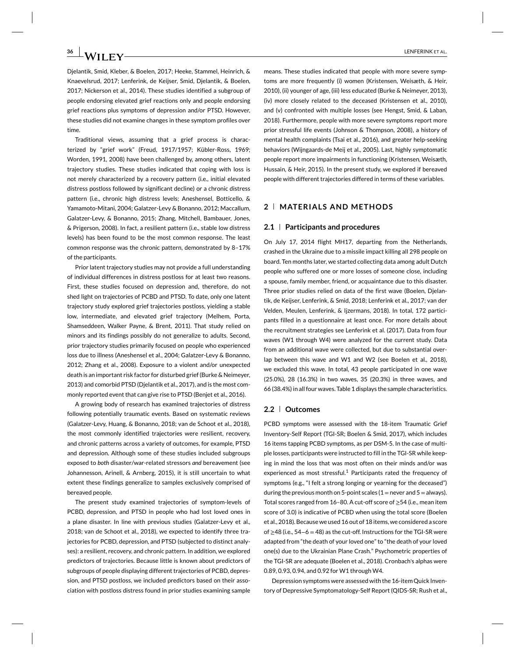**26**ENFERINK ET AL.

Djelantik, Smid, Kleber, & Boelen, 2017; Heeke, Stammel, Heinrich, & Knaevelsrud, 2017; Lenferink, de Keijser, Smid, Djelantik, & Boelen, 2017; Nickerson et al., 2014). These studies identified a subgroup of people endorsing elevated grief reactions only and people endorsing grief reactions plus symptoms of depression and/or PTSD. However, these studies did not examine changes in these symptom profiles over time.

Traditional views, assuming that a grief process is characterized by "grief work" (Freud, 1917/1957; Kübler-Ross, 1969; Worden, 1991, 2008) have been challenged by, among others, latent trajectory studies. These studies indicated that coping with loss is not merely characterized by a recovery pattern (i.e., initial elevated distress postloss followed by significant decline) or a chronic distress pattern (i.e., chronic high distress levels; Aneshensel, Botticello, & Yamamoto-Mitani, 2004; Galatzer-Levy & Bonanno, 2012; Maccallum, Galatzer-Levy, & Bonanno, 2015; Zhang, Mitchell, Bambauer, Jones, & Prigerson, 2008). In fact, a resilient pattern (i.e., stable low distress levels) has been found to be the most common response. The least common response was the chronic pattern, demonstrated by 8–17% of the participants.

Prior latent trajectory studies may not provide a full understanding of individual differences in distress postloss for at least two reasons. First, these studies focused on depression and, therefore, do not shed light on trajectories of PCBD and PTSD. To date, only one latent trajectory study explored grief trajectories postloss, yielding a stable low, intermediate, and elevated grief trajectory (Melhem, Porta, Shamseddeen, Walker Payne, & Brent, 2011). That study relied on minors and its findings possibly do not generalize to adults. Second, prior trajectory studies primarily focused on people who experienced loss due to illness (Aneshensel et al., 2004; Galatzer-Levy & Bonanno, 2012; Zhang et al., 2008). Exposure to a violent and/or unexpected death is an important risk factor for disturbed grief (Burke & Neimeyer, 2013) and comorbid PTSD (Djelantik et al., 2017), and is the most commonly reported event that can give rise to PTSD (Benjet et al., 2016).

A growing body of research has examined trajectories of distress following potentially traumatic events. Based on systematic reviews (Galatzer-Levy, Huang, & Bonanno, 2018; van de Schoot et al., 2018), the most commonly identified trajectories were resilient, recovery, and chronic patterns across a variety of outcomes, for example, PTSD and depression. Although some of these studies included subgroups exposed to *both* disaster/war-related stressors *and* bereavement (see Johannesson, Arinell, & Arnberg, 2015), it is still uncertain to what extent these findings generalize to samples exclusively comprised of bereaved people.

The present study examined trajectories of symptom-levels of PCBD, depression, and PTSD in people who had lost loved ones in a plane disaster. In line with previous studies (Galatzer-Levy et al., 2018; van de Schoot et al., 2018), we expected to identify three trajectories for PCBD, depression, and PTSD (subjected to distinct analyses): a resilient, recovery, and chronic pattern. In addition, we explored predictors of trajectories. Because little is known about predictors of subgroups of people displaying different trajectories of PCBD, depression, and PTSD postloss, we included predictors based on their association with postloss distress found in prior studies examining sample

means. These studies indicated that people with more severe symptoms are more frequently (i) women (Kristensen, Weisæth, & Heir, 2010), (ii) younger of age, (iii) less educated (Burke & Neimeyer, 2013), (iv) more closely related to the deceased (Kristensen et al., 2010), and (v) confronted with multiple losses (see Hengst, Smid, & Laban, 2018). Furthermore, people with more severe symptoms report more prior stressful life events (Johnson & Thompson, 2008), a history of mental health complaints (Tsai et al., 2016), and greater help-seeking behaviors (Wijngaards-de Meij et al., 2005). Last, highly symptomatic people report more impairments in functioning (Kristensen, Weisæth, Hussain, & Heir, 2015). In the present study, we explored if bereaved people with different trajectories differed in terms of these variables.

# **2 MATERIALS AND METHODS**

### **2.1 Participants and procedures**

On July 17, 2014 flight MH17, departing from the Netherlands, crashed in the Ukraine due to a missile impact killing all 298 people on board. Ten months later, we started collecting data among adult Dutch people who suffered one or more losses of someone close, including a spouse, family member, friend, or acquaintance due to this disaster. Three prior studies relied on data of the first wave (Boelen, Djelantik, de Keijser, Lenferink, & Smid, 2018; Lenferink et al., 2017; van der Velden, Meulen, Lenferink, & Ijzermans, 2018). In total, 172 participants filled in a questionnaire at least once. For more details about the recruitment strategies see Lenferink et al. (2017). Data from four waves (W1 through W4) were analyzed for the current study. Data from an additional wave were collected, but due to substantial overlap between this wave and W1 and W2 (see Boelen et al., 2018), we excluded this wave. In total, 43 people participated in one wave (25.0%), 28 (16.3%) in two waves, 35 (20.3%) in three waves, and 66 (38.4%) in all four waves. Table 1 displays the sample characteristics.

# **2.2 Outcomes**

PCBD symptoms were assessed with the 18-item Traumatic Grief Inventory-Self Report (TGI-SR; Boelen & Smid, 2017), which includes 16 items tapping PCBD symptoms, as per DSM-5. In the case of multiple losses, participants were instructed to fill in the TGI-SR while keeping in mind the loss that was most often on their minds and/or was experienced as most stressful.<sup>1</sup> Participants rated the frequency of symptoms (e.g., "I felt a strong longing or yearning for the deceased") during the previous month on 5-point scales ( $1=$  never and  $5=$  always). Total scores ranged from 16–80. A cut-off score of ≥54 (i.e., mean item score of 3.0) is indicative of PCBD when using the total score (Boelen et al., 2018). Because we used 16 out of 18 items, we considered a score of ≥48 (i.e., 54−6 = 48) as the cut-off. Instructions for the TGI-SR were adapted from "the death of your loved one" to "the death of your loved one(s) due to the Ukrainian Plane Crash." Psychometric properties of the TGI-SR are adequate (Boelen et al., 2018). Cronbach's alphas were 0.89, 0.93, 0.94, and 0.92 for W1 through W4.

Depression symptoms were assessed with the 16-item Quick Inventory of Depressive Symptomatology-Self Report (QIDS-SR; Rush et al.,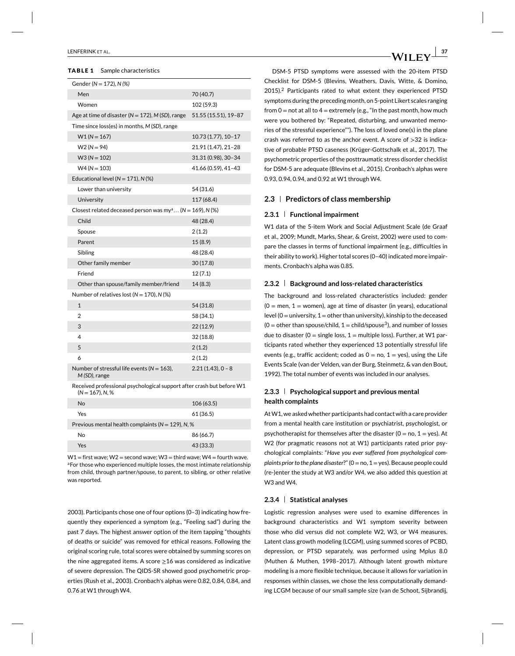#### **TABLE 1** Sample characteristics

| Gender ( $N = 172$ ), $N$ (%)                                                            |                      |
|------------------------------------------------------------------------------------------|----------------------|
| Men                                                                                      | 70 (40.7)            |
| Women                                                                                    | 102 (59.3)           |
| Age at time of disaster ( $N = 172$ ), M (SD), range                                     | 51.55 (15.51), 19-87 |
| Time since loss(es) in months, M (SD), range                                             |                      |
| $W1(N = 167)$                                                                            | 10.73 (1.77), 10-17  |
| $W2(N=94)$                                                                               | 21.91 (1.47), 21–28  |
| $W3 (N = 102)$                                                                           | 31.31 (0.98), 30-34  |
| $W4 (N = 103)$                                                                           | 41.66 (0.59), 41-43  |
| Educational level ( $N = 171$ ), N (%)                                                   |                      |
| Lower than university                                                                    | 54 (31.6)            |
| University                                                                               | 117 (68.4)           |
| Closest related deceased person was my <sup>a</sup> (N = 169), N (%)                     |                      |
| Child                                                                                    | 48 (28.4)            |
| Spouse                                                                                   | 2(1.2)               |
| Parent                                                                                   | 15(8.9)              |
| Sibling                                                                                  | 48 (28.4)            |
| Other family member                                                                      | 30(17.8)             |
| Friend                                                                                   | 12(7.1)              |
| Other than spouse/family member/friend                                                   | 14(8.3)              |
| Number of relatives lost ( $N = 170$ ), N (%)                                            |                      |
| $\mathbf{1}$                                                                             | 54 (31.8)            |
| 2                                                                                        | 58 (34.1)            |
| 3                                                                                        | 22(12.9)             |
| 4                                                                                        | 32 (18.8)            |
| 5                                                                                        | 2(1.2)               |
| 6                                                                                        | 2(1.2)               |
| Number of stressful life events ( $N = 163$ ),<br>M (SD), range                          | $2.21(1.43), 0 - 8$  |
| Received professional psychological support after crash but before W1<br>(N = 167), N, % |                      |

| No                                                    | 106 (63.5) |
|-------------------------------------------------------|------------|
| Yes                                                   | 61 (36.5)  |
| Previous mental health complaints ( $N = 129$ ), N, % |            |
| No                                                    | 86 (66.7)  |
| Yes                                                   | 43 (33.3)  |
|                                                       |            |

 $W1 =$  first wave; W2 = second wave; W3 = third wave; W4 = fourth wave. aFor those who experienced multiple losses, the most intimate relationship from child, through partner/spouse, to parent, to sibling, or other relative was reported.

2003). Participants chose one of four options (0–3) indicating how frequently they experienced a symptom (e.g., "Feeling sad") during the past 7 days. The highest answer option of the item tapping "thoughts of deaths or suicide" was removed for ethical reasons. Following the original scoring rule, total scores were obtained by summing scores on the nine aggregated items. A score  $\geq$ 16 was considered as indicative of severe depression. The QIDS-SR showed good psychometric properties (Rush et al., 2003). Cronbach's alphas were 0.82, 0.84, 0.84, and 0.76 at W1 through W4.

DSM-5 PTSD symptoms were assessed with the 20-item PTSD Checklist for DSM-5 (Blevins, Weathers, Davis, Witte, & Domino, 2015).<sup>2</sup> Participants rated to what extent they experienced PTSD symptoms during the preceding month, on 5-point Likert scales ranging from  $0 =$  not at all to  $4 =$  extremely (e.g., "In the past month, how much were you bothered by: "Repeated, disturbing, and unwanted memories of the stressful experience""). The loss of loved one(s) in the plane crash was referred to as the anchor event. A score of *>*32 is indicative of probable PTSD caseness (Krüger-Gottschalk et al., 2017). The psychometric properties of the posttraumatic stress disorder checklist for DSM-5 are adequate (Blevins et al., 2015). Cronbach's alphas were 0.93, 0.94, 0.94, and 0.92 at W1 through W4.

### **2.3 Predictors of class membership**

#### **2.3.1 Functional impairment**

W1 data of the 5-item Work and Social Adjustment Scale (de Graaf et al., 2009; Mundt, Marks, Shear, & Greist, 2002) were used to compare the classes in terms of functional impairment (e.g., difficulties in their ability to work). Higher total scores (0–40) indicated more impairments. Cronbach's alpha was 0.85.

#### **2.3.2 Background and loss-related characteristics**

The background and loss-related characteristics included: gender  $(0 =$  men,  $1 =$  women), age at time of disaster (in years), educational level ( $0 =$  university,  $1 =$  other than university), kinship to the deceased  $(0 =$  other than spouse/child,  $1 =$ child/spouse<sup>3</sup>), and number of losses due to disaster (0 = single loss,  $1$  = multiple loss). Further, at W1 participants rated whether they experienced 13 potentially stressful life events (e.g., traffic accident; coded as  $0 =$  no,  $1 =$  yes), using the Life Events Scale (van der Velden, van der Burg, Steinmetz, & van den Bout, 1992). The total number of events was included in our analyses.

# **2.3.3 Psychological support and previous mental health complaints**

At W1, we asked whether participants had contact with a care provider from a mental health care institution or psychiatrist, psychologist, or psychotherapist for themselves after the disaster ( $0 =$  no,  $1 =$  yes). At W2 (for pragmatic reasons not at W1) participants rated prior psychological complaints: "*Have you ever suffered from psychological complaints prior to the plane disaster*?" (0=no, 1=yes). Because people could (re-)enter the study at W3 and/or W4, we also added this question at W3 and W4.

## **2.3.4 Statistical analyses**

Logistic regression analyses were used to examine differences in background characteristics and W1 symptom severity between those who did versus did not complete W2, W3, or W4 measures. Latent class growth modeling (LCGM), using summed scores of PCBD, depression, or PTSD separately, was performed using Mplus 8.0 (Muthen & Muthen, 1998–2017). Although latent growth mixture modeling is a more flexible technique, because it allows for variation in responses within classes, we chose the less computationally demanding LCGM because of our small sample size (van de Schoot, Sijbrandij,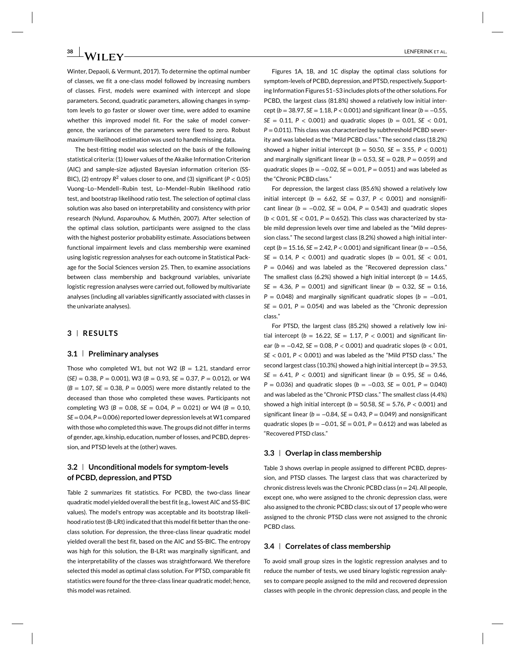Winter, Depaoli, & Vermunt, 2017). To determine the optimal number of classes, we fit a one-class model followed by increasing numbers of classes. First, models were examined with intercept and slope parameters. Second, quadratic parameters, allowing changes in symptom levels to go faster or slower over time, were added to examine whether this improved model fit. For the sake of model convergence, the variances of the parameters were fixed to zero. Robust maximum-likelihood estimation was used to handle missing data.

The best-fitting model was selected on the basis of the following statistical criteria: (1) lower values of the Akaike Information Criterion (AIC) and sample-size adjusted Bayesian information criterion (SS-BIC), (2) entropy  $R^2$  values closer to one, and (3) significant ( $P < 0.05$ ) Vuong–Lo–Mendell–Rubin test, Lo–Mendel–Rubin likelihood ratio test, and bootstrap likelihood ratio test. The selection of optimal class solution was also based on interpretability and consistency with prior research (Nylund, Asparouhov, & Muthén, 2007). After selection of the optimal class solution, participants were assigned to the class with the highest posterior probability estimate. Associations between functional impairment levels and class membership were examined using logistic regression analyses for each outcome in Statistical Package for the Social Sciences version 25. Then, to examine associations between class membership and background variables, univariate logistic regression analyses were carried out, followed by multivariate analyses (including all variables significantly associated with classes in the univariate analyses).

# **3 RESULTS**

## **3.1 Preliminary analyses**

Those who completed W1, but not W2 ( $B = 1.21$ , standard error (*SE)* = 0.38, *P* = 0.001), W3 (*B* = 0.93, *SE* = 0.37, *P* = 0.012), or W4  $(B = 1.07, SE = 0.38, P = 0.005)$  were more distantly related to the deceased than those who completed these waves. Participants not completing W3 (*B* = 0.08, *SE* = 0.04, *P* = 0.021) or W4 (*B* = 0.10, *SE*=0.04, *P*=0.006) reported lower depression levels at W1 compared with those who completed this wave. The groups did not differ in terms of gender, age, kinship, education, number of losses, and PCBD, depression, and PTSD levels at the (other) waves.

# **3.2 Unconditional models for symptom-levels of PCBD, depression, and PTSD**

Table 2 summarizes fit statistics. For PCBD, the two-class linear quadratic model yielded overall the best fit (e.g., lowest AIC and SS-BIC values). The model's entropy was acceptable and its bootstrap likelihood ratio test (B-LRt) indicated that this model fit better than the oneclass solution. For depression, the three-class linear quadratic model yielded overall the best fit, based on the AIC and SS-BIC. The entropy was high for this solution, the B-LRt was marginally significant, and the interpretability of the classes was straightforward. We therefore selected this model as optimal class solution. For PTSD, comparable fit statistics were found for the three-class linear quadratic model; hence, this model was retained.

Figures 1A, 1B, and 1C display the optimal class solutions for symptom-levels of PCBD, depression, and PTSD, respectively. Supporting Information Figures S1–S3 includes plots of the other solutions. For PCBD, the largest class (81.8%) showed a relatively low initial intercept ( $b = 38.97$ ,  $SE = 1.18$ ,  $P < 0.001$ ) and significant linear ( $b = -0.55$ , *SE* = 0.11,  $P$  < 0.001) and quadratic slopes ( $b$  = 0.01, *SE* < 0.01, *P* = 0.011). This class was characterized by subthreshold PCBD severity and was labeled as the "Mild PCBD class." The second class (18.2%) showed a higher initial intercept (*b* = 50.50, *SE* = 3.55, *P <* 0.001) and marginally significant linear ( $b = 0.53$ ,  $SE = 0.28$ ,  $P = 0.059$ ) and quadratic slopes ( $b = -0.02$ ,  $SE = 0.01$ ,  $P = 0.051$ ) and was labeled as the "Chronic PCBD class."

For depression, the largest class (85.6%) showed a relatively low initial intercept ( $b = 6.62$ ,  $SE = 0.37$ ,  $P < 0.001$ ) and nonsignificant linear ( $b = -0.02$ ,  $SE = 0.04$ ,  $P = 0.543$ ) and quadratic slopes (*b <* 0.01, *SE <* 0.01, *P* = 0.652). This class was characterized by stable mild depression levels over time and labeled as the "Mild depression class." The second largest class (8.2%) showed a high initial intercept ( $b = 15.16$ ,  $SE = 2.42$ ,  $P < 0.001$ ) and significant linear ( $b = -0.56$ , *SE* = 0.14,  $P$  < 0.001) and quadratic slopes ( $b$  = 0.01, *SE* < 0.01,  $P = 0.046$ ) and was labeled as the "Recovered depression class." The smallest class (6.2%) showed a high initial intercept ( $b = 14.65$ , *SE* = 4.36, *P* = 0.001) and significant linear ( $b$  = 0.32, *SE* = 0.16,  $P = 0.048$ ) and marginally significant quadratic slopes ( $b = -0.01$ ,  $SE = 0.01$ ,  $P = 0.054$ ) and was labeled as the "Chronic depression class."

For PTSD, the largest class (85.2%) showed a relatively low initial intercept ( $b = 16.22$ ,  $SE = 1.17$ ,  $P < 0.001$ ) and significant linear (*b* = −0.42, *SE* = 0.08, *P <* 0.001) and quadratic slopes (*b <* 0.01, *SE <* 0.01, *P <* 0.001) and was labeled as the "Mild PTSD class." The second largest class (10.3%) showed a high initial intercept ( $b = 39.53$ , *SE* = 6.41, *P* < 0.001) and significant linear ( $b = 0.95$ , *SE* = 0.46, *P* = 0.036) and quadratic slopes (*b* = −0.03, *SE* = 0.01, *P* = 0.040) and was labeled as the "Chronic PTSD class." The smallest class (4.4%) showed a high initial intercept (*b* = 50.58, *SE* = 5.76, *P <* 0.001) and significant linear ( $b = -0.84$ ,  $SE = 0.43$ ,  $P = 0.049$ ) and nonsignificant quadratic slopes ( $b = -0.01$ ,  $SE = 0.01$ ,  $P = 0.612$ ) and was labeled as "Recovered PTSD class."

#### **3.3 Overlap in class membership**

Table 3 shows overlap in people assigned to different PCBD, depression, and PTSD classes. The largest class that was characterized by chronic distress levels was the Chronic PCBD class (*n* = 24). All people, except one, who were assigned to the chronic depression class, were also assigned to the chronic PCBD class; six out of 17 people who were assigned to the chronic PTSD class were not assigned to the chronic PCBD class.

#### **3.4 Correlates of class membership**

To avoid small group sizes in the logistic regression analyses and to reduce the number of tests, we used binary logistic regression analyses to compare people assigned to the mild and recovered depression classes with people in the chronic depression class, and people in the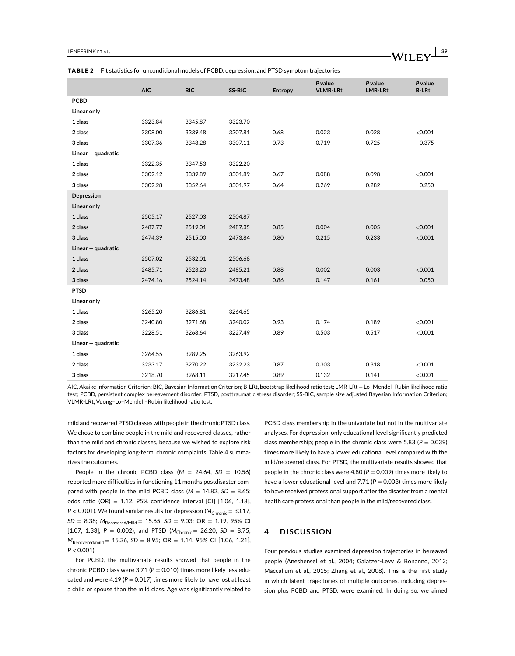#### **TABLE 2** Fit statistics for unconditional models of PCBD, depression, and PTSD symptom trajectories

|                      | <b>AIC</b> | <b>BIC</b> | SS-BIC  | Entropy | P value<br><b>VLMR-LRt</b> | P value<br><b>LMR-LRt</b> | P value<br><b>B-LRt</b> |
|----------------------|------------|------------|---------|---------|----------------------------|---------------------------|-------------------------|
| <b>PCBD</b>          |            |            |         |         |                            |                           |                         |
| Linear only          |            |            |         |         |                            |                           |                         |
| 1 class              | 3323.84    | 3345.87    | 3323.70 |         |                            |                           |                         |
| 2 class              | 3308.00    | 3339.48    | 3307.81 | 0.68    | 0.023                      | 0.028                     | < 0.001                 |
| 3 class              | 3307.36    | 3348.28    | 3307.11 | 0.73    | 0.719                      | 0.725                     | 0.375                   |
| Linear $+$ quadratic |            |            |         |         |                            |                           |                         |
| 1 class              | 3322.35    | 3347.53    | 3322.20 |         |                            |                           |                         |
| 2 class              | 3302.12    | 3339.89    | 3301.89 | 0.67    | 0.088                      | 0.098                     | < 0.001                 |
| 3 class              | 3302.28    | 3352.64    | 3301.97 | 0.64    | 0.269                      | 0.282                     | 0.250                   |
| Depression           |            |            |         |         |                            |                           |                         |
| Linear only          |            |            |         |         |                            |                           |                         |
| 1 class              | 2505.17    | 2527.03    | 2504.87 |         |                            |                           |                         |
| 2 class              | 2487.77    | 2519.01    | 2487.35 | 0.85    | 0.004                      | 0.005                     | < 0.001                 |
| 3 class              | 2474.39    | 2515.00    | 2473.84 | 0.80    | 0.215                      | 0.233                     | < 0.001                 |
| Linear $+$ quadratic |            |            |         |         |                            |                           |                         |
| 1 class              | 2507.02    | 2532.01    | 2506.68 |         |                            |                           |                         |
| 2 class              | 2485.71    | 2523.20    | 2485.21 | 0.88    | 0.002                      | 0.003                     | < 0.001                 |
| 3 class              | 2474.16    | 2524.14    | 2473.48 | 0.86    | 0.147                      | 0.161                     | 0.050                   |
| <b>PTSD</b>          |            |            |         |         |                            |                           |                         |
| Linear only          |            |            |         |         |                            |                           |                         |
| 1 class              | 3265.20    | 3286.81    | 3264.65 |         |                            |                           |                         |
| 2 class              | 3240.80    | 3271.68    | 3240.02 | 0.93    | 0.174                      | 0.189                     | < 0.001                 |
| 3 class              | 3228.51    | 3268.64    | 3227.49 | 0.89    | 0.503                      | 0.517                     | < 0.001                 |
| $Linear + quadratic$ |            |            |         |         |                            |                           |                         |
| 1 class              | 3264.55    | 3289.25    | 3263.92 |         |                            |                           |                         |
| 2 class              | 3233.17    | 3270.22    | 3232.23 | 0.87    | 0.303                      | 0.318                     | < 0.001                 |
| 3 class              | 3218.70    | 3268.11    | 3217.45 | 0.89    | 0.132                      | 0.141                     | < 0.001                 |

AIC, Akaike Information Criterion; BIC, Bayesian Information Criterion; B-LRt, bootstrap likelihood ratio test; LMR-LRt = Lo–Mendel–Rubin likelihood ratio test; PCBD, persistent complex bereavement disorder; PTSD, posttraumatic stress disorder; SS-BIC, sample size adjusted Bayesian Information Criterion; VLMR-LRt, Vuong–Lo–Mendell–Rubin likelihood ratio test.

mild and recovered PTSD classes with people in the chronic PTSD class. We chose to combine people in the mild and recovered classes, rather than the mild and chronic classes, because we wished to explore risk factors for developing long-term, chronic complaints. Table 4 summarizes the outcomes.

People in the chronic PCBD class  $(M = 24.64, SD = 10.56)$ reported more difficulties in functioning 11 months postdisaster compared with people in the mild PCBD class  $(M = 14.82, SD = 8.65;$ odds ratio (OR) = 1.12, 95% confidence interval [CI] [1.06, 1.18], *P* < 0.001). We found similar results for depression ( $M_{Chronic} = 30.17$ , *SD* = 8.38;  $M_{\text{Recovered/Mild}} = 15.65$ , *SD* = 9.03; OR = 1.19, 95% CI [1.07, 1.33],  $P = 0.002$ ), and PTSD ( $M_{Chronic} = 26.20$ ,  $SD = 8.75$ ; *M*Recovered/mild = 15.36, *SD* = 8.95; OR = 1.14, 95% CI [1.06, 1.21], *P <* 0.001).

For PCBD, the multivariate results showed that people in the chronic PCBD class were 3.71 (P = 0.010) times more likely less educated and were  $4.19$  ( $P = 0.017$ ) times more likely to have lost at least a child or spouse than the mild class. Age was significantly related to

PCBD class membership in the univariate but not in the multivariate analyses. For depression, only educational level significantly predicted class membership; people in the chronic class were 5.83 ( $P = 0.039$ ) times more likely to have a lower educational level compared with the mild/recovered class. For PTSD, the multivariate results showed that people in the chronic class were 4.80 (*P* = 0.009) times more likely to have a lower educational level and  $7.71$  ( $P = 0.003$ ) times more likely to have received professional support after the disaster from a mental health care professional than people in the mild/recovered class.

# **4 DISCUSSION**

Four previous studies examined depression trajectories in bereaved people (Aneshensel et al., 2004; Galatzer-Levy & Bonanno, 2012; Maccallum et al., 2015; Zhang et al., 2008). This is the first study in which latent trajectories of multiple outcomes, including depression plus PCBD and PTSD, were examined. In doing so, we aimed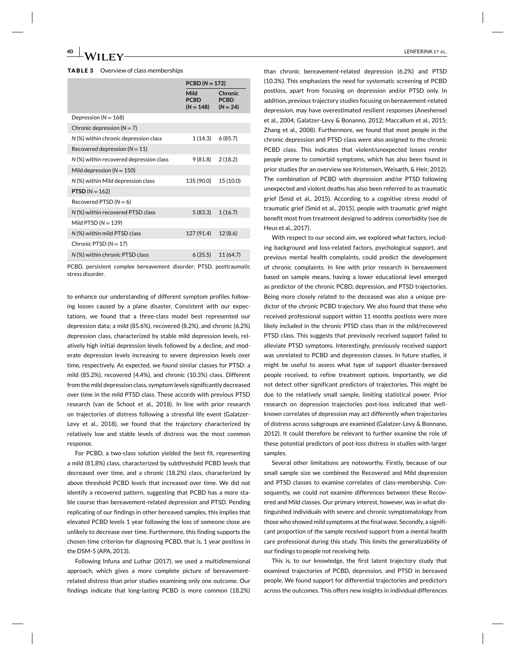#### **TABLE 3** Overview of class memberships

|                                         | $PCBD (N = 172)$                   |                                      |
|-----------------------------------------|------------------------------------|--------------------------------------|
|                                         | Mild<br><b>PCBD</b><br>$(N = 148)$ | Chronic<br><b>PCBD</b><br>$(N = 24)$ |
| Depression ( $N = 168$ )                |                                    |                                      |
| Chronic depression $(N = 7)$            |                                    |                                      |
| N (%) within chronic depression class   | 1(14.3)                            | 6(85.7)                              |
| Recovered depression ( $N = 11$ )       |                                    |                                      |
| N (%) within recovered depression class | 9(81.8)                            | 2(18.2)                              |
| Mild depression $(N = 150)$             |                                    |                                      |
| N (%) within Mild depression class      | 135 (90.0)                         | 15 (10.0)                            |
| <b>PTSD</b> ( $N = 162$ )               |                                    |                                      |
| Recovered PTSD $(N = 6)$                |                                    |                                      |
| N (%) within recovered PTSD class       | 5(83.3)                            | 1(16.7)                              |
| Mild PTSD ( $N = 139$ )                 |                                    |                                      |
| N (%) within mild PTSD class            | 127 (91.4)                         | 12(8.6)                              |
| Chronic PTSD $(N = 17)$                 |                                    |                                      |
| N (%) within chronic PTSD class         | 6(35.5)                            | 11 (64.7)                            |

PCBD, persistent complex bereavement disorder; PTSD, posttraumatic stress disorder.

to enhance our understanding of different symptom profiles following losses caused by a plane disaster. Consistent with our expectations, we found that a three-class model best represented our depression data; a mild (85.6%), recovered (8.2%), and chronic (6.2%) depression class, characterized by stable mild depression levels, relatively high initial depression levels followed by a decline, and moderate depression levels increasing to severe depression levels over time, respectively. As expected, we found similar classes for PTSD: a mild (85.2%), recovered (4.4%), and chronic (10.3%) class. Different from the mild depression class, symptom levels significantly decreased over time in the mild PTSD class. These accords with previous PTSD research (van de Schoot et al., 2018). In line with prior research on trajectories of distress following a stressful life event (Galatzer-Levy et al., 2018), we found that the trajectory characterized by relatively low and stable levels of distress was the most common response.

For PCBD, a two-class solution yielded the best fit, representing a mild (81.8%) class, characterized by subthreshold PCBD levels that decreased over time, and a chronic (18.2%) class, characterized by above threshold PCBD levels that increased over time. We did not identify a recovered pattern, suggesting that PCBD has a more stable course than bereavement-related depression and PTSD. Pending replicating of our findings in other bereaved samples, this implies that elevated PCBD levels 1 year following the loss of someone close are unlikely to decrease over time. Furthermore, this finding supports the chosen time criterion for diagnosing PCBD, that is, 1 year postloss in the DSM-5 (APA, 2013).

Following Infuna and Luthar (2017), we used a multidimensional approach, which gives a more complete picture of bereavementrelated distress than prior studies examining only one outcome. Our findings indicate that long-lasting PCBD is more common (18.2%)

than chronic bereavement-related depression (6.2%) and PTSD (10.3%). This emphasizes the need for systematic screening of PCBD postloss, apart from focusing on depression and/or PTSD only. In addition, previous trajectory studies focusing on bereavement-related depression, may have overestimated resilient responses (Aneshensel et al., 2004; Galatzer-Levy & Bonanno, 2012; Maccallum et al., 2015; Zhang et al., 2008). Furthermore, we found that most people in the chronic depression and PTSD class were also assigned to the chronic PCBD class. This indicates that violent/unexpected losses render people prone to comorbid symptoms, which has also been found in prior studies (for an overview see Kristensen, Weisæth, & Heir, 2012). The combination of PCBD with depression and/or PTSD following unexpected and violent deaths has also been referred to as traumatic grief (Smid et al., 2015). According to a cognitive stress model of traumatic grief (Smid et al., 2015), people with traumatic grief might benefit most from treatment designed to address comorbidity (see de Heus et al., 2017).

With respect to our second aim, we explored what factors, including background and loss-related factors, psychological support, and previous mental health complaints, could predict the development of chronic complaints. In line with prior research in bereavement based on sample means, having a lower educational level emerged as predictor of the chronic PCBD, depression, and PTSD trajectories. Being more closely related to the deceased was also a unique predictor of the chronic PCBD trajectory. We also found that those who received professional support within 11 months postloss were more likely included in the chronic PTSD class than in the mild/recovered PTSD class. This suggests that previously received support failed to alleviate PTSD symptoms. Interestingly, previously received support was unrelated to PCBD and depression classes. In future studies, it might be useful to assess what type of support disaster-bereaved people received, to refine treatment options. Importantly, we did not detect other significant predictors of trajectories. This might be due to the relatively small sample, limiting statistical power. Prior research on depression trajectories post-loss indicated that wellknown correlates of depression may act differently when trajectories of distress across subgroups are examined (Galatzer-Levy & Bonnano, 2012). It could therefore be relevant to further examine the role of these potential predictors of post-loss distress in studies with larger samples.

Several other limitations are noteworthy. Firstly, because of our small sample size we combined the Recovered and Mild depression and PTSD classes to examine correlates of class-membership. Consequently, we could not examine differences between these Recovered and Mild classes. Our primary interest, however, was in what distinguished individuals with severe and chronic symptomatology from those who showed mild symptoms at the final wave. Secondly, a significant proportion of the sample received support from a mental health care professional during this study. This limits the generalizability of our findings to people not receiving help.

This is, to our knowledge, the first latent trajectory study that examined trajectories of PCBD, depression, and PTSD in bereaved people. We found support for differential trajectories and predictors across the outcomes. This offers new insights in individual differences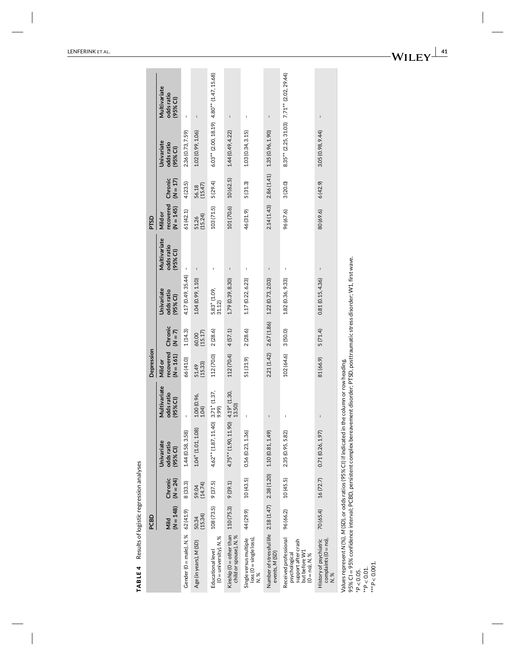|                                                                                                                                                                                                                                                             | PCBD                |                       |                                               |                                                          | Depression                          |                      |                                         |                                        | PTSD                                |                       |                                                |                                          |
|-------------------------------------------------------------------------------------------------------------------------------------------------------------------------------------------------------------------------------------------------------------|---------------------|-----------------------|-----------------------------------------------|----------------------------------------------------------|-------------------------------------|----------------------|-----------------------------------------|----------------------------------------|-------------------------------------|-----------------------|------------------------------------------------|------------------------------------------|
|                                                                                                                                                                                                                                                             | $(N = 148)$<br>Mild | Chronic<br>$(N = 24)$ | <b>Univariate</b><br>odds ratio<br>$(95%$ CI) | Multivariate<br>odds ratio<br>$\widehat{\sigma}$<br>(95% | recovered<br>$(N = 161)$<br>Mild or | Chronic<br>$(N = 7)$ | Univariate<br>odds ratio<br>(95% CI)    | Multivariate<br>odds ratio<br>(95% CI) | recovered<br>$(N = 145)$<br>Mild or | Chronic<br>$(N = 17)$ | <b>Univariate</b><br>odds ratio<br>(95% Cl)    | Multivariate<br>odds ratio<br>$(95%$ CI) |
| Gender (0 = male), N, %                                                                                                                                                                                                                                     | 62 (41.9)           | 8(33.3)               | 1.44 (0.58, 3.58)                             |                                                          | 66 (41.0)                           | 1(14.3)              | 4.17 (0.49, 35.44)                      | ı                                      | 61(42.1)                            | 4(23.5)               | 2.36 (0.73, 7.59)                              | Ï                                        |
| Age (in years), M (SD)                                                                                                                                                                                                                                      | (15.34)<br>50.34    | 59.04<br>(14.74)      | 1.04* (1.01, 1.08)                            | 1.00 (0.96,<br>1.04                                      | (15.33)<br>51.49                    | $60.00$<br>(15.17)   | 1.04 (0.99, 1.10)                       | $\mathsf I$                            | 51.26<br>(15.24)                    | 56.18<br>(15.47)      | 1.02 (0.99, 1.06)                              | $\mathsf I$                              |
| $(0 =$ university), N, %<br>Educational level                                                                                                                                                                                                               | 108 (73.5)          | 9(37.5)               | $4.62**$ (1.87, 11.40) 3.71* (1.37, 1.37)     |                                                          | 112 (70.0)                          | 2(28.6)              | $5.83*$ (1.09,<br>31.12)                | I                                      | 103(71.5)                           | 5(29.4)               | $6.03**$ (2.00, 18.19) $4.80**$ (1.47, 15.68)  |                                          |
| Kinship (0 = other than<br>child or spouse), N,%                                                                                                                                                                                                            | 110 (75.3)          | 9(39.1)               | $4.75**$ (1.90, 11.90) $4.19*$ (1.30,         | 13.50)                                                   | 112 (70.4)                          | 4(57.1)              | 1.79 (0.39, 8.30)                       | $\overline{\phantom{a}}$               | 101 (70.6) 10 (62.5)                |                       | 1.44 (0.49, 4.22)                              | I                                        |
| loss (0 = single loss),<br>Single versus multiple                                                                                                                                                                                                           | 44 (29.9)           | 10(43.5)              | 0.56(0.23, 1.36)                              |                                                          | 51 (31.9)                           | 2(28.6)              | 1.17 (0.22, 6.23)                       | I                                      | 46 (31.9)                           | 5(31.3)               | 1.03(0.34, 3.15)                               | I                                        |
| Number of stressful life 2.18 (1.47) 2.38 (1.20) 1.10 (0.81, 1.49)<br>events, M (SD)                                                                                                                                                                        |                     |                       |                                               | $\mathbf{I}$                                             |                                     |                      | 2.21(1.42) 2.67(1.86) 1.22 (0.73, 2.03) | I                                      |                                     |                       | $2.14(1.43)$ $2.86(1.41)$ $1.35(0.96, 1.90)$   | $\mathbf{I}$                             |
| Received professional<br>support after crash<br>but before W1<br>psychological<br>$(O = no), N, \%$                                                                                                                                                         | 96 (66.2)           | 10(45.5)              | 2.35 (0.95, 5.82)                             | I                                                        | 102 (64.6)                          | 3 (50.0)             | 1.82 (0.36, 9.33)                       | I                                      | 96 (67.6)                           | 3(20.0)               | $8.35***$ (2.25, 31.03) $7.71**$ (2.02, 29.44) |                                          |
| complaints $(0 = no)$ ,<br>History of psychiatric<br>N, %                                                                                                                                                                                                   | 70 (65.4)           | 16(72.7)              | 0.71(0.26, 1.97)                              |                                                          | 81 (66.9)                           | 5(71.4)              | 0.81(0.15, 4.36)                        |                                        | 80 (69.6)                           | 6(42.9)               | 3.05 (0.98, 9.44)                              | I                                        |
| 95% CI = 95% confidence interval; PCBD, persistent complex bereavement disorder; PTSD, posttraumatic stress disorder; W1, first wave.<br>Values represent N (%), M (SD), or odds ratios (95% CI) if indicated in the column or row heading.<br>* $P < 0.05$ |                     |                       |                                               |                                                          |                                     |                      |                                         |                                        |                                     |                       |                                                |                                          |

TABLE 4 Results of logistic regression analyses **TABLE 4** Results of logistic regression analyses

\*\**P <* 0.01. \*\*\**P <* 0.001.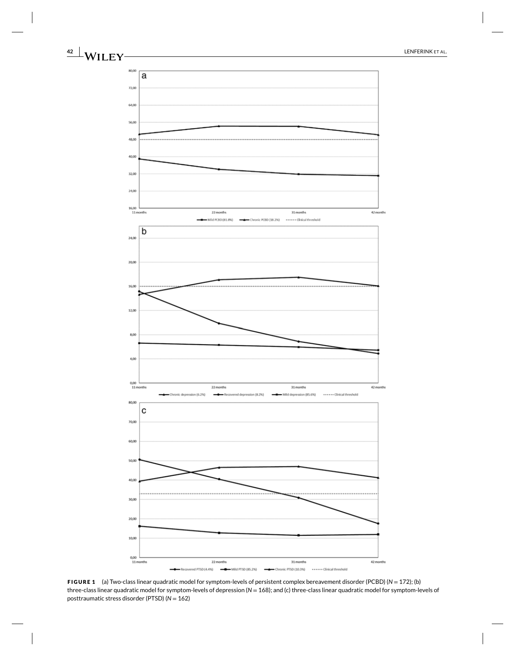

**FIGURE 1** (a) Two-class linear quadratic model for symptom-levels of persistent complex bereavement disorder (PCBD) (*N* = 172); (b) three-class linear quadratic model for symptom-levels of depression (*N* = 168); and (c) three-class linear quadratic model for symptom-levels of posttraumatic stress disorder (PTSD) (*N* = 162)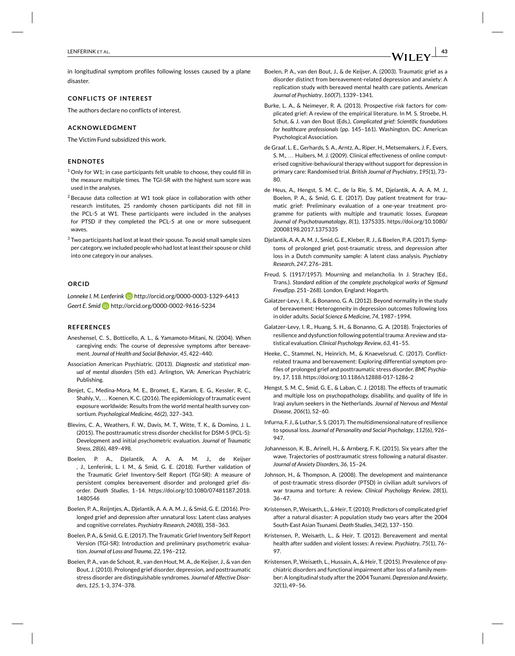in longitudinal symptom profiles following losses caused by a plane disaster.

## **CONFLICTS OF INTEREST**

The authors declare no conflicts of interest.

# **ACKNOWLEDGMENT**

The Victim Fund subsidized this work.

# **ENDNOTES**

- $1$  Only for W1; in case participants felt unable to choose, they could fill in the measure multiple times. The TGI-SR with the highest sum score was used in the analyses.
- <sup>2</sup> Because data collection at W1 took place in collaboration with other research institutes, 25 randomly chosen participants did not fill in the PCL-5 at W1. These participants were included in the analyses for PTSD if they completed the PCL-5 at one or more subsequent waves.
- <sup>3</sup> Two participants had lost at least their spouse. To avoid small sample sizes per category, we included people who had lost at least their spouse or child into one category in our analyses.

## **ORCID**

Lonneke I. M. Lenferink **iD** http://orcid.org/0000-0003-1329-6413 *Geert E. Smid* http://orcid.org/0000-0002-9616-5234

#### **REFERENCES**

- Aneshensel, C. S., Botticello, A. L., & Yamamoto-Mitani, N. (2004). When caregiving ends: The course of depressive symptoms after bereavement. *Journal of Health and Social Behavior*, *45*, 422–440.
- Association American Psychiatric. (2013). *Diagnostic and statistical manual of mental disorders* (5th ed.). Arlington, VA: American Psychiatric Publishing.
- Benjet, C., Medina-Mora, M. E., Bromet, E., Karam, E. G., Kessler, R. C., Shahly, V., … Koenen, K. C. (2016). The epidemiology of traumatic event exposure worldwide: Results from the world mental health survey consortium. *Psychological Medicine*, *46*(2), 327–343.
- Blevins, C. A., Weathers, F. W., Davis, M. T., Witte, T. K., & Domino, J. L. (2015). The posttraumatic stress disorder checklist for DSM-5 (PCL-5): Development and initial psychometric evaluation. *Journal of Traumatic Stress*, *28*(6), 489–498.
- Boelen, P. A., Djelantik, A. A. A. M. J., de Keijser , J., Lenferink, L. I. M., & Smid, G. E. (2018). Further validation of the Traumatic Grief Inventory-Self Report (TGI-SR): A measure of persistent complex bereavement disorder and prolonged grief disorder. *Death Studies*, 1–14. https://doi.org/10.1080/07481187.2018. 1480546
- Boelen, P. A., Reijntjes, A., Djelantik, A. A. A. M. J., & Smid, G. E. (2016). Prolonged grief and depression after unnatural loss: Latent class analyses and cognitive correlates. *Psychiatry Research*, *240*(8), 358–363.
- Boelen, P. A., & Smid, G. E. (2017). The Traumatic Grief Inventory Self Report Version (TGI-SR): Introduction and preliminary psychometric evaluation. *Journal of Loss and Trauma*, *22*, 196–212.
- Boelen, P. A., van de Schoot, R., van den Hout, M. A., de Keijser, J., & van den Bout, J. (2010). Prolonged grief disorder, depression, and posttraumatic stress disorder are distinguishable syndromes. *Journal of Affective Disorders*, *125*, 1-3, 374–378.
- Boelen, P. A., van den Bout, J., & de Keijser, A. (2003). Traumatic grief as a disorder distinct from bereavement-related depression and anxiety: A replication study with bereaved mental health care patients. *American Journal of Psychiatry*, *160*(7), 1339–1341.
- Burke, L. A., & Neimeyer, R. A. (2013). Prospective risk factors for complicated grief: A review of the empirical literature. In M. S. Stroebe, H. Schut, & J. van den Bout (Eds.), *Complicated grief: Scientific foundations for healthcare professionals* (pp. 145–161). Washington, DC: American Psychological Association.
- de Graaf, L. E., Gerhards, S. A., Arntz, A., Riper, H., Metsemakers, J. F., Evers, S. M., … Huibers, M. J. (2009). Clinical effectiveness of online computerised cognitive-behavioural therapy without support for depression in primary care: Randomised trial. *British Journal of Psychiatry*, *195*(1), 73– 80.
- de Heus, A., Hengst, S. M. C., de la Rie, S. M., Djelantik, A. A. A. M. J., Boelen, P. A., & Smid, G. E. (2017). Day patient treatment for traumatic grief: Preliminary evaluation of a one-year treatment programme for patients with multiple and traumatic losses. *European Journal of Psychotraumatology*, *8*(1), 1375335. https://doi.org/10.1080/ 20008198.2017.1375335
- Djelantik, A. A. A. M. J., Smid, G. E., Kleber, R. J., & Boelen, P. A. (2017). Symptoms of prolonged grief, post-traumatic stress, and depression after loss in a Dutch community sample: A latent class analysis. *Psychiatry Research*, *247*, 276–281.
- Freud, S. (1917/1957). Mourning and melancholia. In J. Strachey (Ed., Trans.). *Standard edition of the complete psychological works of Sigmund Freud*(pp. 251–268). London, England: Hogarth.
- Galatzer-Levy, I. R., & Bonanno, G. A. (2012). Beyond normality in the study of bereavement: Heterogeneity in depression outcomes following loss in older adults. *Social Science & Medicine*, *74*, 1987–1994.
- Galatzer-Levy, I. R., Huang, S. H., & Bonanno, G. A. (2018). Trajectories of resilience and dysfunction following potential trauma: A review and statistical evaluation. *Clinical Psychology Review*, *63*, 41–55.
- Heeke, C., Stammel, N., Heinrich, M., & Knaevelsrud, C. (2017). Conflictrelated trauma and bereavement: Exploring differential symptom profiles of prolonged grief and posttraumatic stress disorder. *BMC Psychiatry*, *17*, 118. https://doi.org:10.1186/s12888-017-1286-2
- Hengst, S. M. C., Smid, G. E., & Laban, C. J. (2018). The effects of traumatic and multiple loss on psychopathology, disability, and quality of life in Iraqi asylum seekers in the Netherlands. *Journal of Nervous and Mental Disease*, *206*(1), 52–60.
- Infurna, F. J., & Luthar, S. S. (2017). The multidimensional nature of resilience to spousal loss. *Journal of Personality and Social Psychology*, *112*(6), 926– 947.
- Johannesson, K. B., Arinell, H., & Arnberg, F. K. (2015). Six years after the wave. Trajectories of posttraumatic stress following a natural disaster. *Journal of Anxiety Disorders*, *36*, 15–24.
- Johnson, H., & Thompson, A. (2008). The development and maintenance of post-traumatic stress disorder (PTSD) in civilian adult survivors of war trauma and torture: A review. *Clinical Psychology Review*, *28*(1), 36–47.
- Kristensen, P., Weisæth, L., & Heir, T. (2010). Predictors of complicated grief after a natural disaster: A population study two years after the 2004 South-East Asian Tsunami. *Death Studies*, *34*(2), 137–150.
- Kristensen, P., Weisæth, L., & Heir, T. (2012). Bereavement and mental health after sudden and violent losses: A review. *Psychiatry*, *75*(1), 76– 97.
- Kristensen, P., Weisæth, L., Hussain, A., & Heir, T. (2015). Prevalence of psychiatric disorders and functional impairment after loss of a family member: A longitudinal study after the 2004 Tsunami.*Depression and Anxiety*, *32*(1), 49–56.